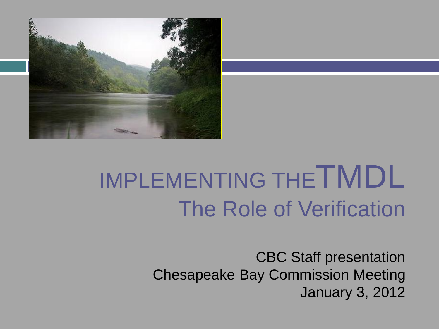

# IMPLEMENTING THE TMDL The Role of Verification

CBC Staff presentation Chesapeake Bay Commission Meeting January 3, 2012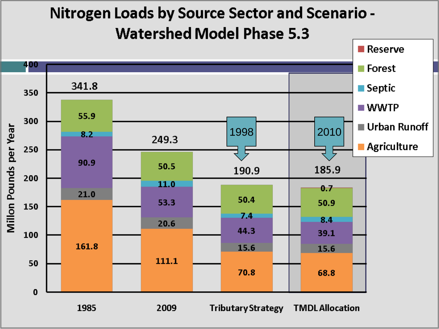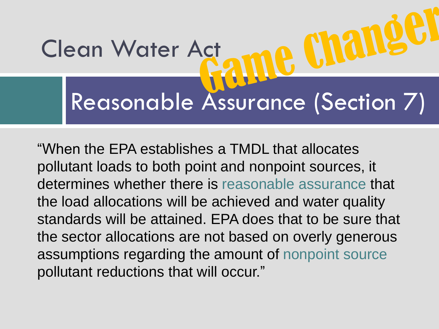# Reasonable Assurance (Section 7) Clean Water Act

"When the EPA establishes a TMDL that allocates pollutant loads to both point and nonpoint sources, it determines whether there is reasonable assurance that the load allocations will be achieved and water quality standards will be attained. EPA does that to be sure that the sector allocations are not based on overly generous assumptions regarding the amount of nonpoint source pollutant reductions that will occur."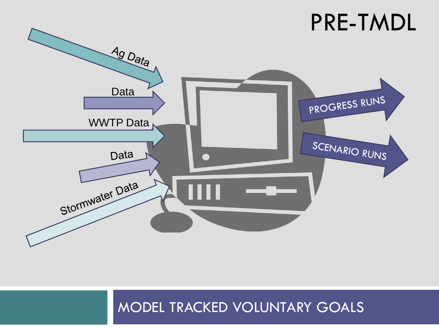

#### MODEL TRACKED VOLUNTARY GOALS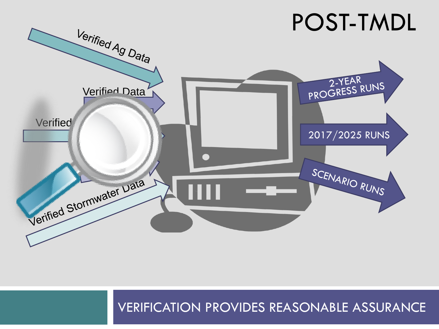

#### VERIFICATION PROVIDES REASONABLE ASSURANCE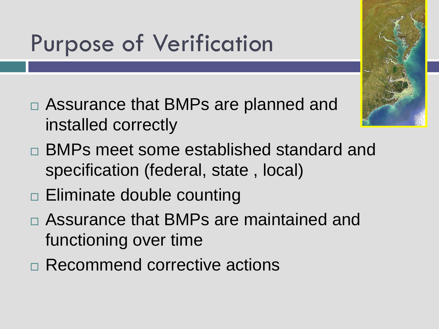# Purpose of Verification

- Assurance that BMPs are planned and installed correctly
- BMPs meet some established standard and specification (federal, state , local)
- □ Eliminate double counting
- Assurance that BMPs are maintained and functioning over time
- Recommend corrective actions

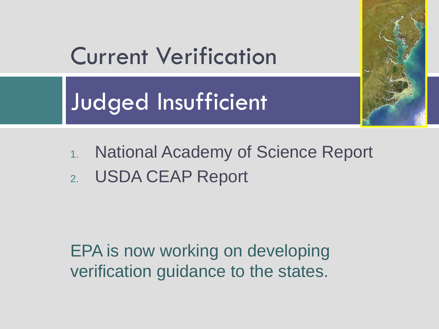

### Current Verification

Judged Insufficient

- 1. National Academy of Science Report
- 2. USDA CEAP Report

EPA is now working on developing verification guidance to the states.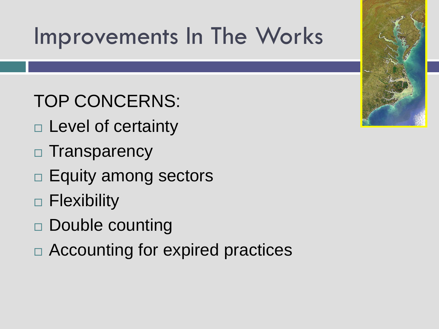### Improvements In The Works

TOP CONCERNS:

- □ Level of certainty
- □ Transparency
- $\Box$  Equity among sectors
- □ Flexibility
- □ Double counting
- □ Accounting for expired practices

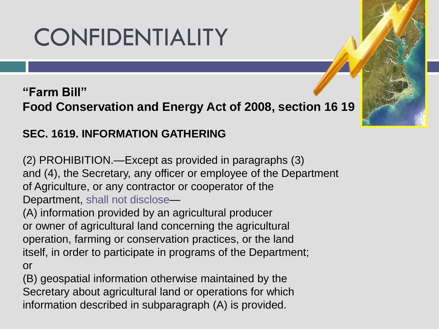## CONFIDENTIALITY

#### **"Farm Bill" Food Conservation and Energy Act of 2008, section 16 19**

#### **SEC. 1619. INFORMATION GATHERING**

(2) PROHIBITION.—Except as provided in paragraphs (3) and (4), the Secretary, any officer or employee of the Department of Agriculture, or any contractor or cooperator of the Department, shall not disclose—

(A) information provided by an agricultural producer or owner of agricultural land concerning the agricultural operation, farming or conservation practices, or the land itself, in order to participate in programs of the Department; or

(B) geospatial information otherwise maintained by the Secretary about agricultural land or operations for which information described in subparagraph (A) is provided.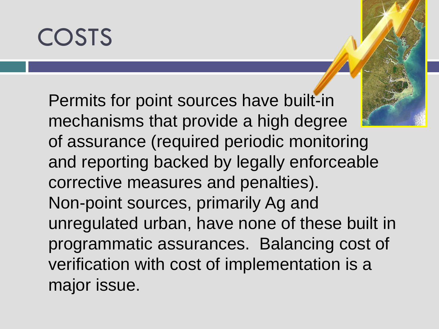## COSTS

Permits for point sources have built-in mechanisms that provide a high degree of assurance (required periodic monitoring and reporting backed by legally enforceable corrective measures and penalties). Non-point sources, primarily Ag and unregulated urban, have none of these built in programmatic assurances. Balancing cost of verification with cost of implementation is a major issue.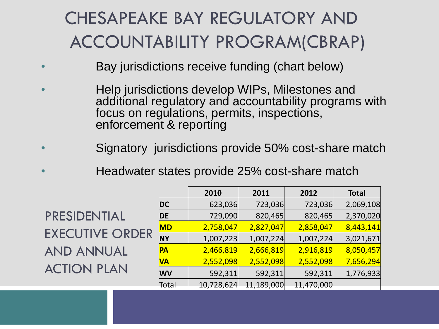#### CHESAPEAKE BAY REGULATORY AND ACCOUNTABILITY PROGRAM(CBRAP)

- Bay jurisdictions receive funding (chart below)
- Help jurisdictions develop WIPs, Milestones and additional regulatory and accountability programs with focus on regulations, permits, inspections, enforcement & reporting
- Signatory jurisdictions provide 50% cost-share match
	- Headwater states provide 25% cost-share match

PRESIDENTIAL EXECUTIVE ORDER AND ANNUAL ACTION PLAN

|           | 2010       | 2011       | 2012       | <b>Total</b> |
|-----------|------------|------------|------------|--------------|
| <b>DC</b> | 623,036    | 723,036    | 723,036    | 2,069,108    |
| <b>DE</b> | 729,090    | 820,465    | 820,465    | 2,370,020    |
| <b>MD</b> | 2,758,047  | 2,827,047  | 2,858,047  | 8,443,141    |
| <b>NY</b> | 1,007,223  | 1,007,224  | 1,007,224  | 3,021,671    |
| PA        | 2,466,819  | 2,666,819  | 2,916,819  | 8,050,457    |
| <b>VA</b> | 2,552,098  | 2,552,098  | 2,552,098  | 7,656,294    |
| <b>WV</b> | 592,311    | 592,311    | 592,311    | 1,776,933    |
| Total     | 10,728,624 | 11,189,000 | 11,470,000 |              |